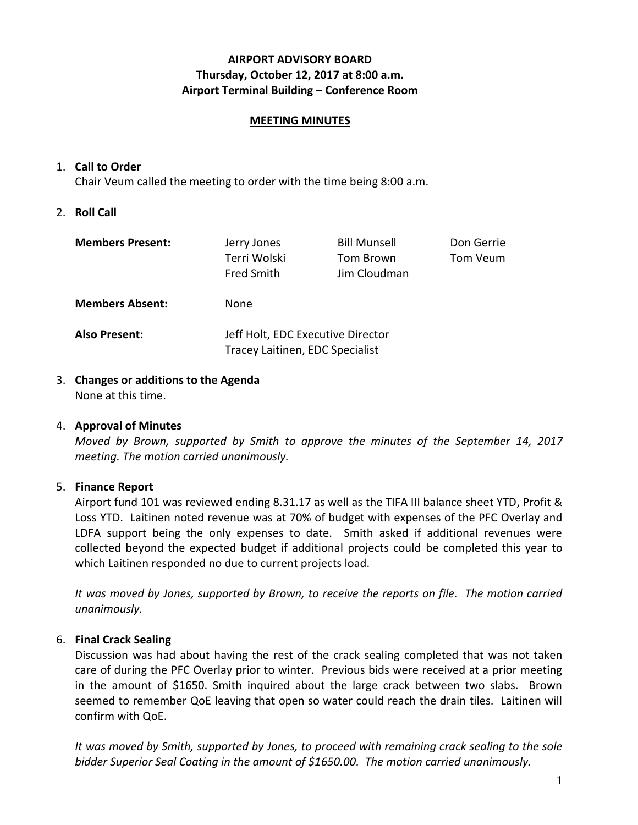# **AIRPORT ADVISORY BOARD Thursday, October 12, 2017 at 8:00 a.m. Airport Terminal Building – Conference Room**

### **MEETING MINUTES**

### 1. **Call to Order**

Chair Veum called the meeting to order with the time being 8:00 a.m.

### 2. **Roll Call**

| <b>Members Present:</b> | Jerry Jones<br>Terri Wolski<br><b>Fred Smith</b>                     | <b>Bill Munsell</b><br>Tom Brown<br>Jim Cloudman | Don Gerrie<br>Tom Veum |
|-------------------------|----------------------------------------------------------------------|--------------------------------------------------|------------------------|
| <b>Members Absent:</b>  | None                                                                 |                                                  |                        |
| <b>Also Present:</b>    | Jeff Holt, EDC Executive Director<br>Tracey Laitinen, EDC Specialist |                                                  |                        |

3. **Changes or additions to the Agenda** None at this time.

#### 4. **Approval of Minutes**

*Moved by Brown, supported by Smith to approve the minutes of the September 14, 2017 meeting. The motion carried unanimously.*

### 5. **Finance Report**

Airport fund 101 was reviewed ending 8.31.17 as well as the TIFA III balance sheet YTD, Profit & Loss YTD. Laitinen noted revenue was at 70% of budget with expenses of the PFC Overlay and LDFA support being the only expenses to date. Smith asked if additional revenues were collected beyond the expected budget if additional projects could be completed this year to which Laitinen responded no due to current projects load.

*It was moved by Jones, supported by Brown, to receive the reports on file. The motion carried unanimously.*

### 6. **Final Crack Sealing**

Discussion was had about having the rest of the crack sealing completed that was not taken care of during the PFC Overlay prior to winter. Previous bids were received at a prior meeting in the amount of \$1650. Smith inquired about the large crack between two slabs. Brown seemed to remember QoE leaving that open so water could reach the drain tiles. Laitinen will confirm with QoE.

*It was moved by Smith, supported by Jones, to proceed with remaining crack sealing to the sole bidder Superior Seal Coating in the amount of \$1650.00. The motion carried unanimously.*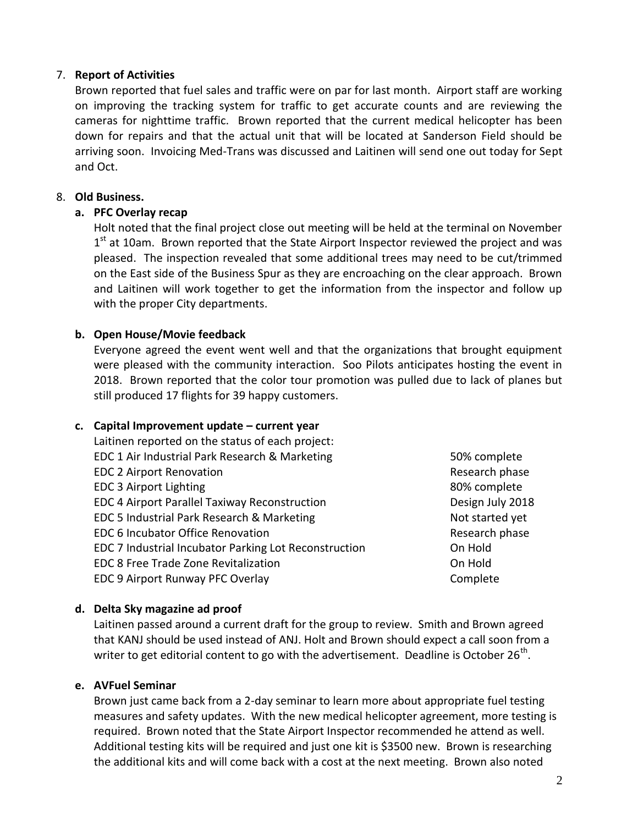## 7. **Report of Activities**

Brown reported that fuel sales and traffic were on par for last month. Airport staff are working on improving the tracking system for traffic to get accurate counts and are reviewing the cameras for nighttime traffic. Brown reported that the current medical helicopter has been down for repairs and that the actual unit that will be located at Sanderson Field should be arriving soon. Invoicing Med-Trans was discussed and Laitinen will send one out today for Sept and Oct.

### 8. **Old Business.**

### **a. PFC Overlay recap**

Holt noted that the final project close out meeting will be held at the terminal on November 1<sup>st</sup> at 10am. Brown reported that the State Airport Inspector reviewed the project and was pleased. The inspection revealed that some additional trees may need to be cut/trimmed on the East side of the Business Spur as they are encroaching on the clear approach. Brown and Laitinen will work together to get the information from the inspector and follow up with the proper City departments.

### **b. Open House/Movie feedback**

Everyone agreed the event went well and that the organizations that brought equipment were pleased with the community interaction. Soo Pilots anticipates hosting the event in 2018. Brown reported that the color tour promotion was pulled due to lack of planes but still produced 17 flights for 39 happy customers.

### **c. Capital Improvement update – current year**

| Laitinen reported on the status of each project:      |          |
|-------------------------------------------------------|----------|
| EDC 1 Air Industrial Park Research & Marketing        | 50% con  |
| <b>EDC 2 Airport Renovation</b>                       | Researcl |
| <b>EDC 3 Airport Lighting</b>                         | 80% con  |
| <b>EDC 4 Airport Parallel Taxiway Reconstruction</b>  | Design J |
| EDC 5 Industrial Park Research & Marketing            | Not star |
| <b>EDC 6 Incubator Office Renovation</b>              | Researcl |
| EDC 7 Industrial Incubator Parking Lot Reconstruction | On Hold  |
| EDC 8 Free Trade Zone Revitalization                  | On Hold  |
| <b>EDC 9 Airport Runway PFC Overlay</b>               | Complet  |

50% complete Research phase 80% complete Design July 2018 Not started yet Research phase Complete

# **d. Delta Sky magazine ad proof**

Laitinen passed around a current draft for the group to review. Smith and Brown agreed that KANJ should be used instead of ANJ. Holt and Brown should expect a call soon from a writer to get editorial content to go with the advertisement. Deadline is October 26<sup>th</sup>.

### **e. AVFuel Seminar**

Brown just came back from a 2-day seminar to learn more about appropriate fuel testing measures and safety updates. With the new medical helicopter agreement, more testing is required. Brown noted that the State Airport Inspector recommended he attend as well. Additional testing kits will be required and just one kit is \$3500 new. Brown is researching the additional kits and will come back with a cost at the next meeting. Brown also noted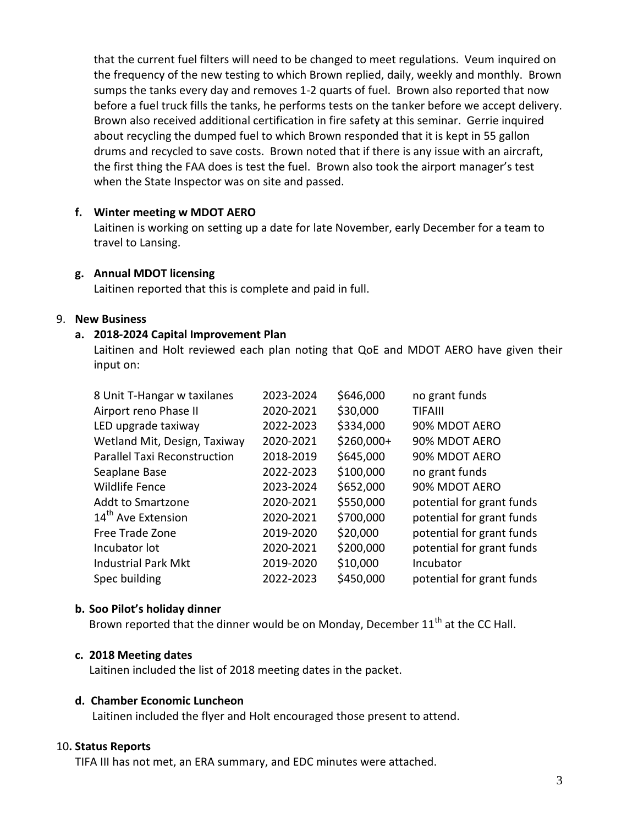that the current fuel filters will need to be changed to meet regulations. Veum inquired on the frequency of the new testing to which Brown replied, daily, weekly and monthly. Brown sumps the tanks every day and removes 1-2 quarts of fuel. Brown also reported that now before a fuel truck fills the tanks, he performs tests on the tanker before we accept delivery. Brown also received additional certification in fire safety at this seminar. Gerrie inquired about recycling the dumped fuel to which Brown responded that it is kept in 55 gallon drums and recycled to save costs. Brown noted that if there is any issue with an aircraft, the first thing the FAA does is test the fuel. Brown also took the airport manager's test when the State Inspector was on site and passed.

### **f. Winter meeting w MDOT AERO**

Laitinen is working on setting up a date for late November, early December for a team to travel to Lansing.

### **g. Annual MDOT licensing**

Laitinen reported that this is complete and paid in full.

### 9. **New Business**

### **a. 2018-2024 Capital Improvement Plan**

Laitinen and Holt reviewed each plan noting that QoE and MDOT AERO have given their input on:

| 8 Unit T-Hangar w taxilanes         | 2023-2024 | \$646,000  | no grant funds            |
|-------------------------------------|-----------|------------|---------------------------|
| Airport reno Phase II               | 2020-2021 | \$30,000   | <b>TIFAIII</b>            |
| LED upgrade taxiway                 | 2022-2023 | \$334,000  | 90% MDOT AERO             |
| Wetland Mit, Design, Taxiway        | 2020-2021 | \$260,000+ | 90% MDOT AERO             |
| <b>Parallel Taxi Reconstruction</b> | 2018-2019 | \$645,000  | 90% MDOT AERO             |
| Seaplane Base                       | 2022-2023 | \$100,000  | no grant funds            |
| <b>Wildlife Fence</b>               | 2023-2024 | \$652,000  | 90% MDOT AERO             |
| <b>Addt to Smartzone</b>            | 2020-2021 | \$550,000  | potential for grant funds |
| 14 <sup>th</sup> Ave Extension      | 2020-2021 | \$700,000  | potential for grant funds |
| Free Trade Zone                     | 2019-2020 | \$20,000   | potential for grant funds |
| Incubator lot                       | 2020-2021 | \$200,000  | potential for grant funds |
| <b>Industrial Park Mkt</b>          | 2019-2020 | \$10,000   | Incubator                 |
| Spec building                       | 2022-2023 | \$450,000  | potential for grant funds |

### **b. Soo Pilot's holiday dinner**

Brown reported that the dinner would be on Monday, December 11<sup>th</sup> at the CC Hall.

### **c. 2018 Meeting dates**

Laitinen included the list of 2018 meeting dates in the packet.

### **d. Chamber Economic Luncheon**

Laitinen included the flyer and Holt encouraged those present to attend.

### 10**. Status Reports**

TIFA III has not met, an ERA summary, and EDC minutes were attached.